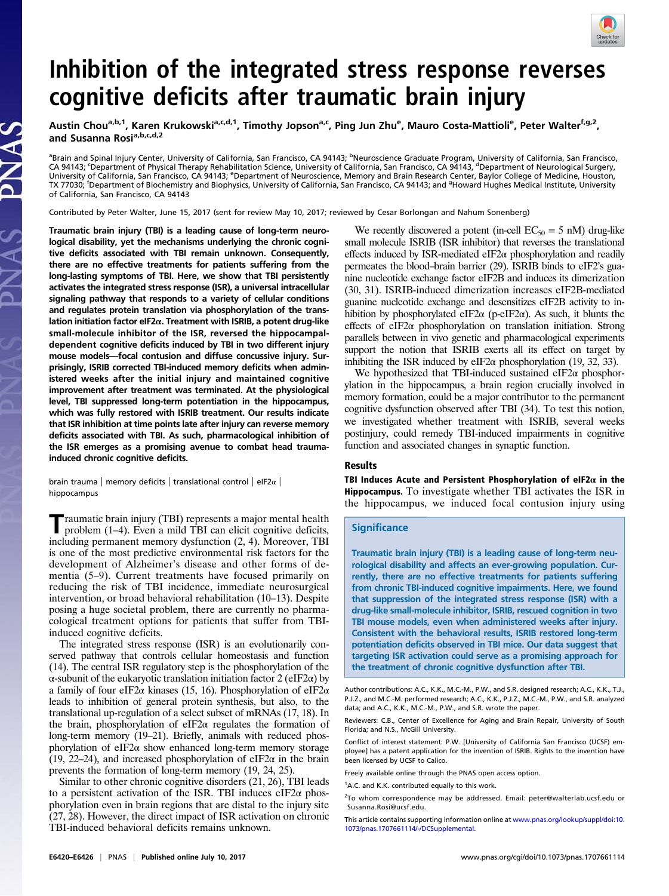

# Inhibition of the integrated stress response reverses cognitive deficits after traumatic brain injury

Austin Chou<sup>a,b,1</sup>, Karen Krukowski<sup>a,c,d,1</sup>, Timothy Jopson<sup>a,c</sup>, Ping Jun Zhu<sup>e</sup>, Mauro Costa-Mattioli<sup>e</sup>, Peter Walter<sup>f,g,2</sup>, and Susanna Rosi<sup>a,b,c,d,2</sup>

<sup>a</sup>Brain and Spinal Injury Center, University of California, San Francisco, CA 94143; <sup>b</sup>Neuroscience Graduate Program, University of California, San Francisco, CA 94143; 'Department of Physical Therapy Rehabilitation Science, University of California, San Francisco, CA 94143, <sup>d</sup>Department of Neurological Surgery, University of California, San Francisco, CA 94143; <sup>e</sup>Department of Neuroscience, Memory and Brain Research Center, Baylor College of Medicine, Houston, TX 77030; <sup>f</sup>Department of Biochemistry and Biophysics, University of California, San Francisco, CA 94143; and <sup>9</sup>Howard Hughes Medical Institute, University of California, San Francisco, CA 94143

Contributed by Peter Walter, June 15, 2017 (sent for review May 10, 2017; reviewed by Cesar Borlongan and Nahum Sonenberg)

Traumatic brain injury (TBI) is a leading cause of long-term neurological disability, yet the mechanisms underlying the chronic cognitive deficits associated with TBI remain unknown. Consequently, there are no effective treatments for patients suffering from the long-lasting symptoms of TBI. Here, we show that TBI persistently activates the integrated stress response (ISR), a universal intracellular signaling pathway that responds to a variety of cellular conditions and regulates protein translation via phosphorylation of the translation initiation factor eIF2α. Treatment with ISRIB, a potent drug-like small-molecule inhibitor of the ISR, reversed the hippocampaldependent cognitive deficits induced by TBI in two different injury mouse models—focal contusion and diffuse concussive injury. Surprisingly, ISRIB corrected TBI-induced memory deficits when administered weeks after the initial injury and maintained cognitive improvement after treatment was terminated. At the physiological level, TBI suppressed long-term potentiation in the hippocampus, which was fully restored with ISRIB treatment. Our results indicate that ISR inhibition at time points late after injury can reverse memory deficits associated with TBI. As such, pharmacological inhibition of the ISR emerges as a promising avenue to combat head traumainduced chronic cognitive deficits.

S<br>AN

brain trauma | memory deficits | translational control | eIF2α | hippocampus

Traumatic brain injury (TBI) represents a major mental health problem (1–4). Even a mild TBI can elicit cognitive deficits, including permanent memory dysfunction (2, 4). Moreover, TBI is one of the most predictive environmental risk factors for the development of Alzheimer's disease and other forms of dementia (5–9). Current treatments have focused primarily on reducing the risk of TBI incidence, immediate neurosurgical intervention, or broad behavioral rehabilitation (10–13). Despite posing a huge societal problem, there are currently no pharmacological treatment options for patients that suffer from TBIinduced cognitive deficits.

The integrated stress response (ISR) is an evolutionarily conserved pathway that controls cellular homeostasis and function (14). The central ISR regulatory step is the phosphorylation of the α-subunit of the eukaryotic translation initiation factor 2 (eIF2α) by a family of four eIF2 $\alpha$  kinases (15, 16). Phosphorylation of eIF2 $\alpha$ leads to inhibition of general protein synthesis, but also, to the translational up-regulation of a select subset of mRNAs (17, 18). In the brain, phosphorylation of eIF2 $\alpha$  regulates the formation of long-term memory (19–21). Briefly, animals with reduced phosphorylation of eIF2 $\alpha$  show enhanced long-term memory storage (19, 22–24), and increased phosphorylation of eIF2 $\alpha$  in the brain prevents the formation of long-term memory (19, 24, 25).

Similar to other chronic cognitive disorders (21, 26), TBI leads to a persistent activation of the ISR. TBI induces eIF2 $\alpha$  phosphorylation even in brain regions that are distal to the injury site (27, 28). However, the direct impact of ISR activation on chronic TBI-induced behavioral deficits remains unknown.

We recently discovered a potent (in-cell  $EC_{50} = 5$  nM) drug-like small molecule ISRIB (ISR inhibitor) that reverses the translational effects induced by ISR-mediated eIF2 $\alpha$  phosphorylation and readily permeates the blood–brain barrier (29). ISRIB binds to eIF2's guanine nucleotide exchange factor eIF2B and induces its dimerization (30, 31). ISRIB-induced dimerization increases eIF2B-mediated guanine nucleotide exchange and desensitizes eIF2B activity to inhibition by phosphorylated eIF2 $\alpha$  (p-eIF2 $\alpha$ ). As such, it blunts the effects of eIF2α phosphorylation on translation initiation. Strong parallels between in vivo genetic and pharmacological experiments support the notion that ISRIB exerts all its effect on target by inhibiting the ISR induced by eIF2 $\alpha$  phosphorylation (19, 32, 33).

We hypothesized that TBI-induced sustained eIF2 $\alpha$  phosphorylation in the hippocampus, a brain region crucially involved in memory formation, could be a major contributor to the permanent cognitive dysfunction observed after TBI (34). To test this notion, we investigated whether treatment with ISRIB, several weeks postinjury, could remedy TBI-induced impairments in cognitive function and associated changes in synaptic function.

### Results

TBI Induces Acute and Persistent Phosphorylation of eIF2 $\alpha$  in the Hippocampus. To investigate whether TBI activates the ISR in the hippocampus, we induced focal contusion injury using

### **Significance**

Traumatic brain injury (TBI) is a leading cause of long-term neurological disability and affects an ever-growing population. Currently, there are no effective treatments for patients suffering from chronic TBI-induced cognitive impairments. Here, we found that suppression of the integrated stress response (ISR) with a drug-like small-molecule inhibitor, ISRIB, rescued cognition in two TBI mouse models, even when administered weeks after injury. Consistent with the behavioral results, ISRIB restored long-term potentiation deficits observed in TBI mice. Our data suggest that targeting ISR activation could serve as a promising approach for the treatment of chronic cognitive dysfunction after TBI.

Author contributions: A.C., K.K., M.C.-M., P.W., and S.R. designed research; A.C., K.K., T.J., P.J.Z., and M.C.-M. performed research; A.C., K.K., P.J.Z., M.C.-M., P.W., and S.R. analyzed data; and A.C., K.K., M.C.-M., P.W., and S.R. wrote the paper.

Reviewers: C.B., Center of Excellence for Aging and Brain Repair, University of South Florida; and N.S., McGill University.

Conflict of interest statement: P.W. [University of California San Francisco (UCSF) employee] has a patent application for the invention of ISRIB. Rights to the invention have been licensed by UCSF to Calico.

Freely available online through the PNAS open access option.

<sup>1</sup>A.C. and K.K. contributed equally to this work.

<sup>2</sup>To whom correspondence may be addressed. Email: [peter@walterlab.ucsf.edu](mailto:peter@walterlab.ucsf.edu) or [Susanna.Rosi@ucsf.edu](mailto:Susanna.Rosi@ucsf.edu).

This article contains supporting information online at [www.pnas.org/lookup/suppl/doi:10.](http://www.pnas.org/lookup/suppl/doi:10.1073/pnas.1707661114/-/DCSupplemental) [1073/pnas.1707661114/-/DCSupplemental.](http://www.pnas.org/lookup/suppl/doi:10.1073/pnas.1707661114/-/DCSupplemental)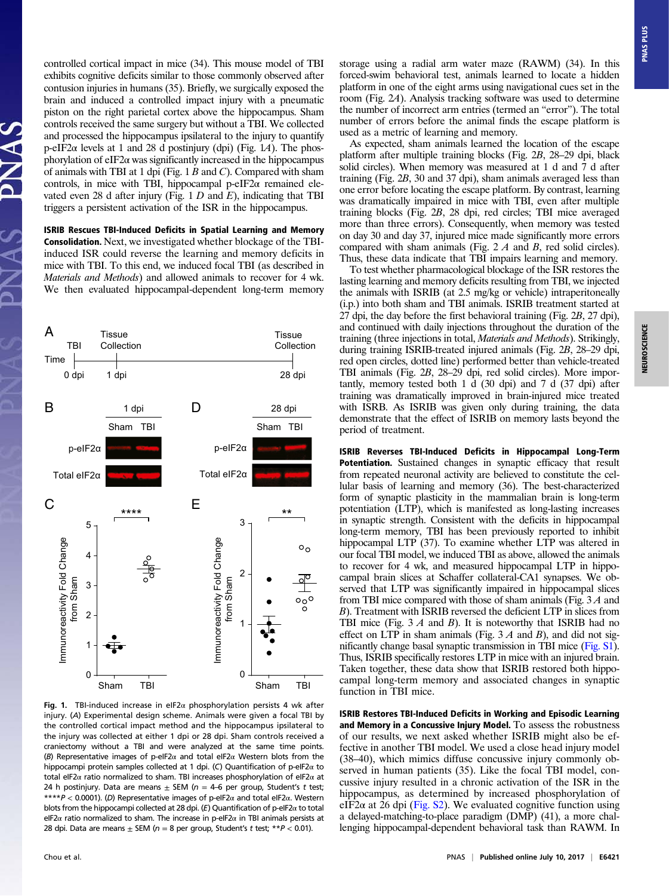controlled cortical impact in mice (34). This mouse model of TBI exhibits cognitive deficits similar to those commonly observed after contusion injuries in humans (35). Briefly, we surgically exposed the brain and induced a controlled impact injury with a pneumatic piston on the right parietal cortex above the hippocampus. Sham controls received the same surgery but without a TBI. We collected and processed the hippocampus ipsilateral to the injury to quantify p-eIF2 $\alpha$  levels at 1 and 28 d postinjury (dpi) (Fig. 1A). The phosphorylation of eIF2 $\alpha$  was significantly increased in the hippocampus of animals with TBI at 1 dpi (Fig.  $1 B$  and C). Compared with sham controls, in mice with TBI, hippocampal p-eIF2 $\alpha$  remained elevated even 28 d after injury (Fig. 1  $D$  and  $E$ ), indicating that TBI triggers a persistent activation of the ISR in the hippocampus.

ISRIB Rescues TBI-Induced Deficits in Spatial Learning and Memory Consolidation. Next, we investigated whether blockage of the TBIinduced ISR could reverse the learning and memory deficits in mice with TBI. To this end, we induced focal TBI (as described in Materials and Methods) and allowed animals to recover for 4 wk. We then evaluated hippocampal-dependent long-term memory



Fig. 1. TBI-induced increase in eIF2 $\alpha$  phosphorylation persists 4 wk after injury. (A) Experimental design scheme. Animals were given a focal TBI by the controlled cortical impact method and the hippocampus ipsilateral to the injury was collected at either 1 dpi or 28 dpi. Sham controls received a craniectomy without a TBI and were analyzed at the same time points. (B) Representative images of p-eIF2α and total eIF2α Western blots from the hippocampi protein samples collected at 1 dpi. (C) Quantification of p-eIF2α to total eIF2 $\alpha$  ratio normalized to sham. TBI increases phosphorylation of eIF2 $\alpha$  at 24 h postinjury. Data are means  $\pm$  SEM (n = 4-6 per group, Student's t test; \*\*\*\*P < 0.0001). (D) Representative images of p-eIF2 $\alpha$  and total eIF2 $\alpha$ . Western blots from the hippocampi collected at 28 dpi. (E) Quantification of p-eIF2 $\alpha$  to total eIF2 $\alpha$  ratio normalized to sham. The increase in p-eIF2 $\alpha$  in TBI animals persists at 28 dpi. Data are means  $\pm$  SEM ( $n = 8$  per group, Student's t test; \*\* $P < 0.01$ ).

storage using a radial arm water maze (RAWM) (34). In this forced-swim behavioral test, animals learned to locate a hidden platform in one of the eight arms using navigational cues set in the room (Fig. 2A). Analysis tracking software was used to determine the number of incorrect arm entries (termed an "error"). The total number of errors before the animal finds the escape platform is used as a metric of learning and memory.

As expected, sham animals learned the location of the escape platform after multiple training blocks (Fig. 2B, 28–29 dpi, black solid circles). When memory was measured at 1 d and 7 d after training (Fig. 2B, 30 and 37 dpi), sham animals averaged less than one error before locating the escape platform. By contrast, learning was dramatically impaired in mice with TBI, even after multiple training blocks (Fig. 2B, 28 dpi, red circles; TBI mice averaged more than three errors). Consequently, when memory was tested on day 30 and day 37, injured mice made significantly more errors compared with sham animals (Fig. 2 A and B, red solid circles). Thus, these data indicate that TBI impairs learning and memory.

To test whether pharmacological blockage of the ISR restores the lasting learning and memory deficits resulting from TBI, we injected the animals with ISRIB (at 2.5 mg/kg or vehicle) intraperitoneally (i.p.) into both sham and TBI animals. ISRIB treatment started at 27 dpi, the day before the first behavioral training (Fig. 2B, 27 dpi), and continued with daily injections throughout the duration of the training (three injections in total, Materials and Methods). Strikingly, during training ISRIB-treated injured animals (Fig. 2B, 28–29 dpi, red open circles, dotted line) performed better than vehicle-treated TBI animals (Fig. 2B, 28–29 dpi, red solid circles). More importantly, memory tested both 1 d (30 dpi) and 7 d (37 dpi) after training was dramatically improved in brain-injured mice treated with ISRB. As ISRIB was given only during training, the data demonstrate that the effect of ISRIB on memory lasts beyond the period of treatment.

ISRIB Reverses TBI-Induced Deficits in Hippocampal Long-Term Potentiation. Sustained changes in synaptic efficacy that result from repeated neuronal activity are believed to constitute the cellular basis of learning and memory (36). The best-characterized form of synaptic plasticity in the mammalian brain is long-term potentiation (LTP), which is manifested as long-lasting increases in synaptic strength. Consistent with the deficits in hippocampal long-term memory, TBI has been previously reported to inhibit hippocampal LTP (37). To examine whether LTP was altered in our focal TBI model, we induced TBI as above, allowed the animals to recover for 4 wk, and measured hippocampal LTP in hippocampal brain slices at Schaffer collateral-CA1 synapses. We observed that LTP was significantly impaired in hippocampal slices from TBI mice compared with those of sham animals (Fig. 3 A and B). Treatment with ISRIB reversed the deficient LTP in slices from TBI mice (Fig.  $3 \land$  and  $B$ ). It is noteworthy that ISRIB had no effect on LTP in sham animals (Fig.  $3 \text{ } A$  and  $B$ ), and did not significantly change basal synaptic transmission in TBI mice [\(Fig. S1\)](http://www.pnas.org/lookup/suppl/doi:10.1073/pnas.1707661114/-/DCSupplemental/pnas.201707661SI.pdf?targetid=nameddest=SF1). Thus, ISRIB specifically restores LTP in mice with an injured brain. Taken together, these data show that ISRIB restored both hippocampal long-term memory and associated changes in synaptic function in TBI mice.

ISRIB Restores TBI-Induced Deficits in Working and Episodic Learning and Memory in a Concussive Injury Model. To assess the robustness of our results, we next asked whether ISRIB might also be effective in another TBI model. We used a close head injury model (38–40), which mimics diffuse concussive injury commonly observed in human patients (35). Like the focal TBI model, concussive injury resulted in a chronic activation of the ISR in the hippocampus, as determined by increased phosphorylation of eIF2 $\alpha$  at 26 dpi ([Fig. S2](http://www.pnas.org/lookup/suppl/doi:10.1073/pnas.1707661114/-/DCSupplemental/pnas.201707661SI.pdf?targetid=nameddest=SF2)). We evaluated cognitive function using a delayed-matching-to-place paradigm (DMP) (41), a more challenging hippocampal-dependent behavioral task than RAWM. In **PNAS PLUS**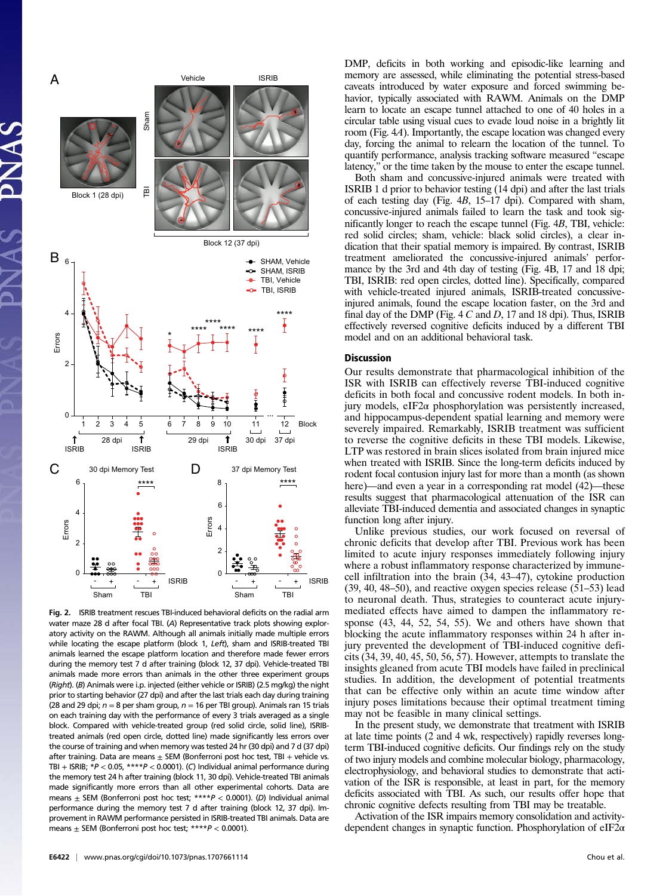

Fig. 2. ISRIB treatment rescues TBI-induced behavioral deficits on the radial arm water maze 28 d after focal TBI. (A) Representative track plots showing exploratory activity on the RAWM. Although all animals initially made multiple errors while locating the escape platform (block 1, Left), sham and ISRIB-treated TBI animals learned the escape platform location and therefore made fewer errors during the memory test 7 d after training (block 12, 37 dpi). Vehicle-treated TBI animals made more errors than animals in the other three experiment groups (Right). (B) Animals were i.p. injected (either vehicle or ISRIB) (2.5 mg/kg) the night prior to starting behavior (27 dpi) and after the last trials each day during training (28 and 29 dpi;  $n = 8$  per sham group,  $n = 16$  per TBI group). Animals ran 15 trials on each training day with the performance of every 3 trials averaged as a single block. Compared with vehicle-treated group (red solid circle, solid line), ISRIBtreated animals (red open circle, dotted line) made significantly less errors over the course of training and when memory was tested 24 hr (30 dpi) and 7 d (37 dpi) after training. Data are means  $+$  SEM (Bonferroni post hoc test, TBI  $+$  vehicle vs. TBI + ISRIB;  $*P < 0.05$ ,  $***P < 0.0001$ ). (C) Individual animal performance during the memory test 24 h after training (block 11, 30 dpi). Vehicle-treated TBI animals made significantly more errors than all other experimental cohorts. Data are means  $\pm$  SEM (Bonferroni post hoc test; \*\*\*\* $P < 0.0001$ ). (D) Individual animal performance during the memory test 7 d after training (block 12, 37 dpi). Improvement in RAWM performance persisted in ISRIB-treated TBI animals. Data are means  $\pm$  SEM (Bonferroni post hoc test; \*\*\*\* $P < 0.0001$ ).

DMP, deficits in both working and episodic-like learning and memory are assessed, while eliminating the potential stress-based caveats introduced by water exposure and forced swimming behavior, typically associated with RAWM. Animals on the DMP learn to locate an escape tunnel attached to one of 40 holes in a circular table using visual cues to evade loud noise in a brightly lit room (Fig. 4A). Importantly, the escape location was changed every day, forcing the animal to relearn the location of the tunnel. To quantify performance, analysis tracking software measured "escape latency," or the time taken by the mouse to enter the escape tunnel.

Both sham and concussive-injured animals were treated with ISRIB 1 d prior to behavior testing (14 dpi) and after the last trials of each testing day (Fig. 4B, 15–17 dpi). Compared with sham, concussive-injured animals failed to learn the task and took significantly longer to reach the escape tunnel (Fig. 4B, TBI, vehicle: red solid circles; sham, vehicle: black solid circles), a clear indication that their spatial memory is impaired. By contrast, ISRIB treatment ameliorated the concussive-injured animals' performance by the 3rd and 4th day of testing (Fig. 4B, 17 and 18 dpi; TBI, ISRIB: red open circles, dotted line). Specifically, compared with vehicle-treated injured animals, ISRIB-treated concussiveinjured animals, found the escape location faster, on the 3rd and final day of the DMP (Fig.  $4 C$  and D, 17 and 18 dpi). Thus, ISRIB effectively reversed cognitive deficits induced by a different TBI model and on an additional behavioral task.

#### Discussion

Our results demonstrate that pharmacological inhibition of the ISR with ISRIB can effectively reverse TBI-induced cognitive deficits in both focal and concussive rodent models. In both injury models, eIF2 $\alpha$  phosphorylation was persistently increased, and hippocampus-dependent spatial learning and memory were severely impaired. Remarkably, ISRIB treatment was sufficient to reverse the cognitive deficits in these TBI models. Likewise, LTP was restored in brain slices isolated from brain injured mice when treated with ISRIB. Since the long-term deficits induced by rodent focal contusion injury last for more than a month (as shown here)—and even a year in a corresponding rat model  $(42)$ —these results suggest that pharmacological attenuation of the ISR can alleviate TBI-induced dementia and associated changes in synaptic function long after injury.

Unlike previous studies, our work focused on reversal of chronic deficits that develop after TBI. Previous work has been limited to acute injury responses immediately following injury where a robust inflammatory response characterized by immunecell infiltration into the brain (34, 43–47), cytokine production (39, 40, 48–50), and reactive oxygen species release (51–53) lead to neuronal death. Thus, strategies to counteract acute injurymediated effects have aimed to dampen the inflammatory response (43, 44, 52, 54, 55). We and others have shown that blocking the acute inflammatory responses within 24 h after injury prevented the development of TBI-induced cognitive deficits (34, 39, 40, 45, 50, 56, 57). However, attempts to translate the insights gleaned from acute TBI models have failed in preclinical studies. In addition, the development of potential treatments that can be effective only within an acute time window after injury poses limitations because their optimal treatment timing may not be feasible in many clinical settings.

In the present study, we demonstrate that treatment with ISRIB at late time points (2 and 4 wk, respectively) rapidly reverses longterm TBI-induced cognitive deficits. Our findings rely on the study of two injury models and combine molecular biology, pharmacology, electrophysiology, and behavioral studies to demonstrate that activation of the ISR is responsible, at least in part, for the memory deficits associated with TBI. As such, our results offer hope that chronic cognitive defects resulting from TBI may be treatable.

Activation of the ISR impairs memory consolidation and activitydependent changes in synaptic function. Phosphorylation of eIF2α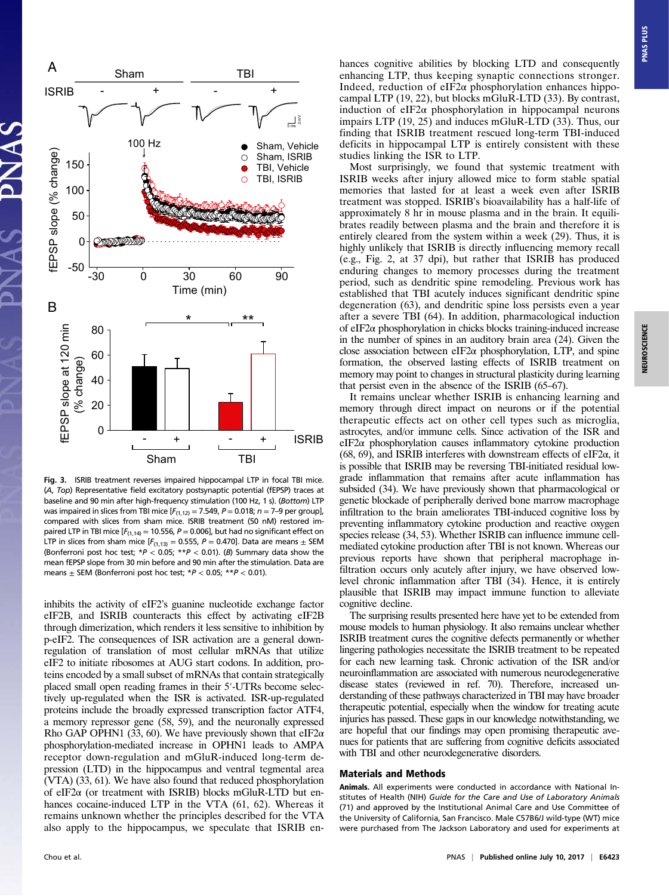

Fig. 3. ISRIB treatment reverses impaired hippocampal LTP in focal TBI mice. (A, Top) Representative field excitatory postsynaptic potential (fEPSP) traces at baseline and 90 min after high-frequency stimulation (100 Hz, 1 s). (Bottom) LTP was impaired in slices from TBI mice  $[F_{(1,12)} = 7.549, P = 0.018; n = 7-9$  per group], compared with slices from sham mice. ISRIB treatment (50 nM) restored impaired LTP in TBI mice  $[F_{(1,14)} = 10.556, P = 0.006]$ , but had no significant effect on LTP in slices from sham mice  $[F_{(1,13)} = 0.555, P = 0.470]$ . Data are means  $\pm$  SEM (Bonferroni post hoc test;  $*P < 0.05$ ;  $**P < 0.01$ ). (B) Summary data show the mean fEPSP slope from 30 min before and 90 min after the stimulation. Data are means  $\pm$  SEM (Bonferroni post hoc test;  $*P < 0.05$ ;  $**P < 0.01$ ).

inhibits the activity of eIF2's guanine nucleotide exchange factor eIF2B, and ISRIB counteracts this effect by activating eIF2B through dimerization, which renders it less sensitive to inhibition by p-eIF2. The consequences of ISR activation are a general downregulation of translation of most cellular mRNAs that utilize eIF2 to initiate ribosomes at AUG start codons. In addition, proteins encoded by a small subset of mRNAs that contain strategically placed small open reading frames in their 5′-UTRs become selectively up-regulated when the ISR is activated. ISR-up-regulated proteins include the broadly expressed transcription factor ATF4, a memory repressor gene (58, 59), and the neuronally expressed Rho GAP OPHN1 (33, 60). We have previously shown that  $eIF2\alpha$ phosphorylation-mediated increase in OPHN1 leads to AMPA receptor down-regulation and mGluR-induced long-term depression (LTD) in the hippocampus and ventral tegmental area (VTA) (33, 61). We have also found that reduced phosphorylation of eIF2α (or treatment with ISRIB) blocks mGluR-LTD but enhances cocaine-induced LTP in the VTA (61, 62). Whereas it remains unknown whether the principles described for the VTA also apply to the hippocampus, we speculate that ISRIB enhances cognitive abilities by blocking LTD and consequently enhancing LTP, thus keeping synaptic connections stronger. Indeed, reduction of eIF2 $\alpha$  phosphorylation enhances hippocampal LTP (19, 22), but blocks mGluR-LTD (33). By contrast, induction of eIF2 $\alpha$  phosphorylation in hippocampal neurons impairs LTP (19, 25) and induces mGluR-LTD (33). Thus, our finding that ISRIB treatment rescued long-term TBI-induced deficits in hippocampal LTP is entirely consistent with these studies linking the ISR to LTP.

Most surprisingly, we found that systemic treatment with ISRIB weeks after injury allowed mice to form stable spatial memories that lasted for at least a week even after ISRIB treatment was stopped. ISRIB's bioavailability has a half-life of approximately 8 hr in mouse plasma and in the brain. It equilibrates readily between plasma and the brain and therefore it is entirely cleared from the system within a week (29). Thus, it is highly unlikely that ISRIB is directly influencing memory recall (e.g., Fig. 2, at 37 dpi), but rather that ISRIB has produced enduring changes to memory processes during the treatment period, such as dendritic spine remodeling. Previous work has established that TBI acutely induces significant dendritic spine degeneration (63), and dendritic spine loss persists even a year after a severe TBI (64). In addition, pharmacological induction of eIF2α phosphorylation in chicks blocks training-induced increase in the number of spines in an auditory brain area (24). Given the close association between eIF2 $\alpha$  phosphorylation, LTP, and spine formation, the observed lasting effects of ISRIB treatment on memory may point to changes in structural plasticity during learning that persist even in the absence of the ISRIB (65–67).

It remains unclear whether ISRIB is enhancing learning and memory through direct impact on neurons or if the potential therapeutic effects act on other cell types such as microglia, astrocytes, and/or immune cells. Since activation of the ISR and  $eIF2\alpha$  phosphorylation causes inflammatory cytokine production (68, 69), and ISRIB interferes with downstream effects of eIF2 $\alpha$ , it is possible that ISRIB may be reversing TBI-initiated residual lowgrade inflammation that remains after acute inflammation has subsided (34). We have previously shown that pharmacological or genetic blockade of peripherally derived bone marrow macrophage infiltration to the brain ameliorates TBI-induced cognitive loss by preventing inflammatory cytokine production and reactive oxygen species release (34, 53). Whether ISRIB can influence immune cellmediated cytokine production after TBI is not known. Whereas our previous reports have shown that peripheral macrophage infiltration occurs only acutely after injury, we have observed lowlevel chronic inflammation after TBI (34). Hence, it is entirely plausible that ISRIB may impact immune function to alleviate cognitive decline.

The surprising results presented here have yet to be extended from mouse models to human physiology. It also remains unclear whether ISRIB treatment cures the cognitive defects permanently or whether lingering pathologies necessitate the ISRIB treatment to be repeated for each new learning task. Chronic activation of the ISR and/or neuroinflammation are associated with numerous neurodegenerative disease states (reviewed in ref. 70). Therefore, increased understanding of these pathways characterized in TBI may have broader therapeutic potential, especially when the window for treating acute injuries has passed. These gaps in our knowledge notwithstanding, we are hopeful that our findings may open promising therapeutic avenues for patients that are suffering from cognitive deficits associated with TBI and other neurodegenerative disorders.

## Materials and Methods

Animals. All experiments were conducted in accordance with National Institutes of Health (NIH) Guide for the Care and Use of Laboratory Animals (71) and approved by the Institutional Animal Care and Use Committee of the University of California, San Francisco. Male C57B6/J wild-type (WT) mice were purchased from The Jackson Laboratory and used for experiments at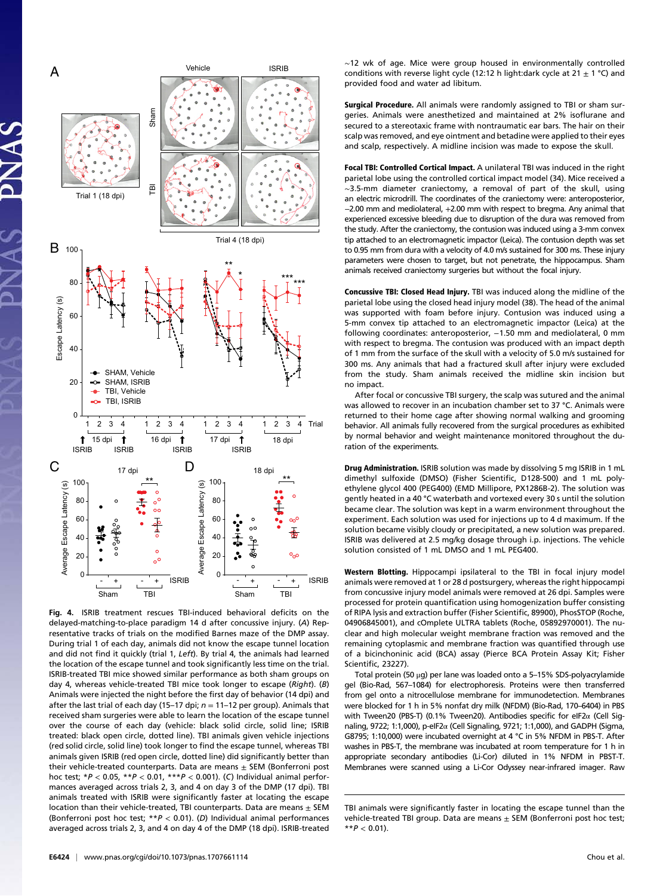

Fig. 4. ISRIB treatment rescues TBI-induced behavioral deficits on the delayed-matching-to-place paradigm 14 d after concussive injury. (A) Representative tracks of trials on the modified Barnes maze of the DMP assay. During trial 1 of each day, animals did not know the escape tunnel location and did not find it quickly (trial 1, Left). By trial 4, the animals had learned the location of the escape tunnel and took significantly less time on the trial. ISRIB-treated TBI mice showed similar performance as both sham groups on day 4, whereas vehicle-treated TBI mice took longer to escape (Right). (B) Animals were injected the night before the first day of behavior (14 dpi) and after the last trial of each day (15–17 dpi;  $n = 11-12$  per group). Animals that received sham surgeries were able to learn the location of the escape tunnel over the course of each day (vehicle: black solid circle, solid line; ISRIB treated: black open circle, dotted line). TBI animals given vehicle injections (red solid circle, solid line) took longer to find the escape tunnel, whereas TBI animals given ISRIB (red open circle, dotted line) did significantly better than their vehicle-treated counterparts. Data are means  $\pm$  SEM (Bonferroni post hoc test;  $*P < 0.05$ ,  $*P < 0.01$ ,  $**P < 0.001$ ). (C) Individual animal performances averaged across trials 2, 3, and 4 on day 3 of the DMP (17 dpi). TBI animals treated with ISRIB were significantly faster at locating the escape location than their vehicle-treated, TBI counterparts. Data are means  $\pm$  SEM (Bonferroni post hoc test;  $*P < 0.01$ ). (D) Individual animal performances averaged across trials 2, 3, and 4 on day 4 of the DMP (18 dpi). ISRIB-treated

∼12 wk of age. Mice were group housed in environmentally controlled conditions with reverse light cycle (12:12 h light:dark cycle at 21  $\pm$  1 °C) and provided food and water ad libitum.

Surgical Procedure. All animals were randomly assigned to TBI or sham surgeries. Animals were anesthetized and maintained at 2% isoflurane and secured to a stereotaxic frame with nontraumatic ear bars. The hair on their scalp was removed, and eye ointment and betadine were applied to their eyes and scalp, respectively. A midline incision was made to expose the skull.

Focal TBI: Controlled Cortical Impact. A unilateral TBI was induced in the right parietal lobe using the controlled cortical impact model (34). Mice received a ∼3.5-mm diameter craniectomy, a removal of part of the skull, using an electric microdrill. The coordinates of the craniectomy were: anteroposterior, −2.00 mm and mediolateral, +2.00 mm with respect to bregma. Any animal that experienced excessive bleeding due to disruption of the dura was removed from the study. After the craniectomy, the contusion was induced using a 3-mm convex tip attached to an electromagnetic impactor (Leica). The contusion depth was set to 0.95 mm from dura with a velocity of 4.0 m/s sustained for 300 ms. These injury parameters were chosen to target, but not penetrate, the hippocampus. Sham animals received craniectomy surgeries but without the focal injury.

Concussive TBI: Closed Head Injury. TBI was induced along the midline of the parietal lobe using the closed head injury model (38). The head of the animal was supported with foam before injury. Contusion was induced using a 5-mm convex tip attached to an electromagnetic impactor (Leica) at the following coordinates: anteroposterior, -1.50 mm and mediolateral, 0 mm with respect to bregma. The contusion was produced with an impact depth of 1 mm from the surface of the skull with a velocity of 5.0 m/s sustained for 300 ms. Any animals that had a fractured skull after injury were excluded from the study. Sham animals received the midline skin incision but no impact.

After focal or concussive TBI surgery, the scalp was sutured and the animal was allowed to recover in an incubation chamber set to 37 °C. Animals were returned to their home cage after showing normal walking and grooming behavior. All animals fully recovered from the surgical procedures as exhibited by normal behavior and weight maintenance monitored throughout the duration of the experiments.

Drug Administration. ISRIB solution was made by dissolving 5 mg ISRIB in 1 mL dimethyl sulfoxide (DMSO) (Fisher Scientific, D128-500) and 1 mL polyethylene glycol 400 (PEG400) (EMD Millipore, PX1286B-2). The solution was gently heated in a 40 °C waterbath and vortexed every 30 s until the solution became clear. The solution was kept in a warm environment throughout the experiment. Each solution was used for injections up to 4 d maximum. If the solution became visibly cloudy or precipitated, a new solution was prepared. ISRIB was delivered at 2.5 mg/kg dosage through i.p. injections. The vehicle solution consisted of 1 mL DMSO and 1 mL PEG400.

Western Blotting. Hippocampi ipsilateral to the TBI in focal injury model animals were removed at 1 or 28 d postsurgery, whereas the right hippocampi from concussive injury model animals were removed at 26 dpi. Samples were processed for protein quantification using homogenization buffer consisting of RIPA lysis and extraction buffer (Fisher Scientific, 89900), PhosSTOP (Roche, 04906845001), and cOmplete ULTRA tablets (Roche, 05892970001). The nuclear and high molecular weight membrane fraction was removed and the remaining cytoplasmic and membrane fraction was quantified through use of a bicinchoninic acid (BCA) assay (Pierce BCA Protein Assay Kit; Fisher Scientific, 23227).

Total protein (50 μg) per lane was loaded onto a 5–15% SDS-polyacrylamide gel (Bio-Rad, 567–1084) for electrophoresis. Proteins were then transferred from gel onto a nitrocellulose membrane for immunodetection. Membranes were blocked for 1 h in 5% nonfat dry milk (NFDM) (Bio-Rad, 170–6404) in PBS with Tween20 (PBS-T) (0.1% Tween20). Antibodies specific for eIF2α (Cell Signaling, 9722; 1:1,000), p-eIF2α (Cell Signaling, 9721; 1:1,000), and GADPH (Sigma, G8795; 1:10,000) were incubated overnight at 4 °C in 5% NFDM in PBS-T. After washes in PBS-T, the membrane was incubated at room temperature for 1 h in appropriate secondary antibodies (Li-Cor) diluted in 1% NFDM in PBST-T. Membranes were scanned using a Li-Cor Odyssey near-infrared imager. Raw

TBI animals were significantly faster in locating the escape tunnel than the vehicle-treated TBI group. Data are means  $\pm$  SEM (Bonferroni post hoc test;  $*$  $P$  < 0.01).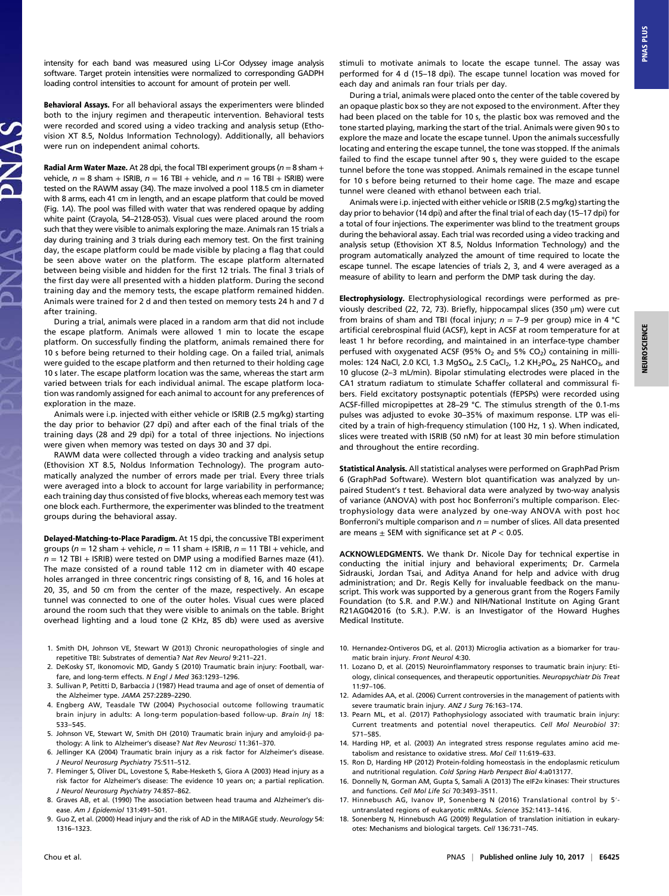intensity for each band was measured using Li-Cor Odyssey image analysis software. Target protein intensities were normalized to corresponding GADPH loading control intensities to account for amount of protein per well.

Behavioral Assays. For all behavioral assays the experimenters were blinded both to the injury regimen and therapeutic intervention. Behavioral tests were recorded and scored using a video tracking and analysis setup (Ethovision XT 8.5, Noldus Information Technology). Additionally, all behaviors were run on independent animal cohorts.

**Radial Arm Water Maze.** At 28 dpi, the focal TBI experiment groups ( $n = 8$  sham + vehicle,  $n = 8$  sham + ISRIB,  $n = 16$  TBI + vehicle, and  $n = 16$  TBI + ISRIB) were tested on the RAWM assay (34). The maze involved a pool 118.5 cm in diameter with 8 arms, each 41 cm in length, and an escape platform that could be moved (Fig. 1A). The pool was filled with water that was rendered opaque by adding white paint (Crayola, 54–2128-053). Visual cues were placed around the room such that they were visible to animals exploring the maze. Animals ran 15 trials a day during training and 3 trials during each memory test. On the first training day, the escape platform could be made visible by placing a flag that could be seen above water on the platform. The escape platform alternated between being visible and hidden for the first 12 trials. The final 3 trials of the first day were all presented with a hidden platform. During the second training day and the memory tests, the escape platform remained hidden. Animals were trained for 2 d and then tested on memory tests 24 h and 7 d after training.

During a trial, animals were placed in a random arm that did not include the escape platform. Animals were allowed 1 min to locate the escape platform. On successfully finding the platform, animals remained there for 10 s before being returned to their holding cage. On a failed trial, animals were guided to the escape platform and then returned to their holding cage 10 s later. The escape platform location was the same, whereas the start arm varied between trials for each individual animal. The escape platform location was randomly assigned for each animal to account for any preferences of exploration in the maze.

Animals were i.p. injected with either vehicle or ISRIB (2.5 mg/kg) starting the day prior to behavior (27 dpi) and after each of the final trials of the training days (28 and 29 dpi) for a total of three injections. No injections were given when memory was tested on days 30 and 37 dpi.

RAWM data were collected through a video tracking and analysis setup (Ethovision XT 8.5, Noldus Information Technology). The program automatically analyzed the number of errors made per trial. Every three trials were averaged into a block to account for large variability in performance; each training day thus consisted of five blocks, whereas each memory test was one block each. Furthermore, the experimenter was blinded to the treatment groups during the behavioral assay.

Delayed-Matching-to-Place Paradigm. At 15 dpi, the concussive TBI experiment groups ( $n = 12$  sham + vehicle,  $n = 11$  sham + ISRIB,  $n = 11$  TBI + vehicle, and  $n = 12$  TBI + ISRIB) were tested on DMP using a modified Barnes maze (41). The maze consisted of a round table 112 cm in diameter with 40 escape holes arranged in three concentric rings consisting of 8, 16, and 16 holes at 20, 35, and 50 cm from the center of the maze, respectively. An escape tunnel was connected to one of the outer holes. Visual cues were placed around the room such that they were visible to animals on the table. Bright overhead lighting and a loud tone (2 KHz, 85 db) were used as aversive

- 1. Smith DH, Johnson VE, Stewart W (2013) Chronic neuropathologies of single and repetitive TBI: Substrates of dementia? Nat Rev Neurol 9:211–221.
- 2. DeKosky ST, Ikonomovic MD, Gandy S (2010) Traumatic brain injury: Football, warfare, and long-term effects. N Engl J Med 363:1293-1296.
- 3. Sullivan P, Petitti D, Barbaccia J (1987) Head trauma and age of onset of dementia of the Alzheimer type. JAMA 257:2289–2290.
- 4. Engberg AW, Teasdale TW (2004) Psychosocial outcome following traumatic brain injury in adults: A long-term population-based follow-up. Brain Inj 18: 533–545.
- 5. Johnson VE, Stewart W, Smith DH (2010) Traumatic brain injury and amyloid-β pathology: A link to Alzheimer's disease? Nat Rev Neurosci 11:361–370.
- 6. Jellinger KA (2004) Traumatic brain injury as a risk factor for Alzheimer's disease. J Neurol Neurosurg Psychiatry 75:511–512.
- 7. Fleminger S, Oliver DL, Lovestone S, Rabe-Hesketh S, Giora A (2003) Head injury as a risk factor for Alzheimer's disease: The evidence 10 years on; a partial replication. J Neurol Neurosurg Psychiatry 74:857–862.
- 8. Graves AB, et al. (1990) The association between head trauma and Alzheimer's disease. Am J Epidemiol 131:491–501.
- 9. Guo Z, et al. (2000) Head injury and the risk of AD in the MIRAGE study. Neurology 54: 1316–1323.

stimuli to motivate animals to locate the escape tunnel. The assay was performed for 4 d (15–18 dpi). The escape tunnel location was moved for each day and animals ran four trials per day.

During a trial, animals were placed onto the center of the table covered by an opaque plastic box so they are not exposed to the environment. After they had been placed on the table for 10 s, the plastic box was removed and the tone started playing, marking the start of the trial. Animals were given 90 s to explore the maze and locate the escape tunnel. Upon the animals successfully locating and entering the escape tunnel, the tone was stopped. If the animals failed to find the escape tunnel after 90 s, they were guided to the escape tunnel before the tone was stopped. Animals remained in the escape tunnel for 10 s before being returned to their home cage. The maze and escape tunnel were cleaned with ethanol between each trial.

Animals were i.p. injected with either vehicle or ISRIB (2.5 mg/kg) starting the day prior to behavior (14 dpi) and after the final trial of each day (15–17 dpi) for a total of four injections. The experimenter was blind to the treatment groups during the behavioral assay. Each trial was recorded using a video tracking and analysis setup (Ethovision XT 8.5, Noldus Information Technology) and the program automatically analyzed the amount of time required to locate the escape tunnel. The escape latencies of trials 2, 3, and 4 were averaged as a measure of ability to learn and perform the DMP task during the day.

Electrophysiology. Electrophysiological recordings were performed as previously described (22, 72, 73). Briefly, hippocampal slices (350 μm) were cut from brains of sham and TBI (focal injury;  $n = 7-9$  per group) mice in 4 °C artificial cerebrospinal fluid (ACSF), kept in ACSF at room temperature for at least 1 hr before recording, and maintained in an interface-type chamber perfused with oxygenated ACSF (95%  $O_2$  and 5%  $CO_2$ ) containing in millimoles: 124 NaCl, 2.0 KCl, 1.3 MgSO<sub>4</sub>, 2.5 CaCl<sub>2</sub>, 1.2 KH<sub>2</sub>PO<sub>4</sub>, 25 NaHCO<sub>3</sub>, and 10 glucose (2–3 mL/min). Bipolar stimulating electrodes were placed in the CA1 stratum radiatum to stimulate Schaffer collateral and commissural fibers. Field excitatory postsynaptic potentials (fEPSPs) were recorded using ACSF-filled micropipettes at 28–29 °C. The stimulus strength of the 0.1-ms pulses was adjusted to evoke 30–35% of maximum response. LTP was elicited by a train of high-frequency stimulation (100 Hz, 1 s). When indicated, slices were treated with ISRIB (50 nM) for at least 30 min before stimulation and throughout the entire recording.

Statistical Analysis. All statistical analyses were performed on GraphPad Prism 6 (GraphPad Software). Western blot quantification was analyzed by unpaired Student's t test. Behavioral data were analyzed by two-way analysis of variance (ANOVA) with post hoc Bonferroni's multiple comparison. Electrophysiology data were analyzed by one-way ANOVA with post hoc Bonferroni's multiple comparison and  $n =$  number of slices. All data presented are means  $+$  SEM with significance set at  $P < 0.05$ .

ACKNOWLEDGMENTS. We thank Dr. Nicole Day for technical expertise in conducting the initial injury and behavioral experiments; Dr. Carmela Sidrauski, Jordan Tsai, and Aditya Anand for help and advice with drug administration; and Dr. Regis Kelly for invaluable feedback on the manuscript. This work was supported by a generous grant from the Rogers Family Foundation (to S.R. and P.W.) and NIH/National Institute on Aging Grant R21AG042016 (to S.R.). P.W. is an Investigator of the Howard Hughes Medical Institute.

- 10. Hernandez-Ontiveros DG, et al. (2013) Microglia activation as a biomarker for traumatic brain injury. Front Neurol 4:30.
- 11. Lozano D, et al. (2015) Neuroinflammatory responses to traumatic brain injury: Etiology, clinical consequences, and therapeutic opportunities. Neuropsychiatr Dis Treat 11:97–106.
- 12. Adamides AA, et al. (2006) Current controversies in the management of patients with severe traumatic brain injury. ANZ J Surg 76:163–174.
- 13. Pearn ML, et al. (2017) Pathophysiology associated with traumatic brain injury: Current treatments and potential novel therapeutics. Cell Mol Neurobiol 37: 571–585.
- 14. Harding HP, et al. (2003) An integrated stress response regulates amino acid metabolism and resistance to oxidative stress. Mol Cell 11:619–633.
- 15. Ron D, Harding HP (2012) Protein-folding homeostasis in the endoplasmic reticulum and nutritional regulation. Cold Spring Harb Perspect Biol 4:a013177.
- 16. Donnelly N, Gorman AM, Gupta S, Samali A (2013) The eIF2α kinases: Their structures and functions. Cell Mol Life Sci 70:3493–3511.
- 17. Hinnebusch AG, Ivanov IP, Sonenberg N (2016) Translational control by 5′ untranslated regions of eukaryotic mRNAs. Science 352:1413–1416.
- 18. Sonenberg N, Hinnebusch AG (2009) Regulation of translation initiation in eukaryotes: Mechanisms and biological targets. Cell 136:731–745.